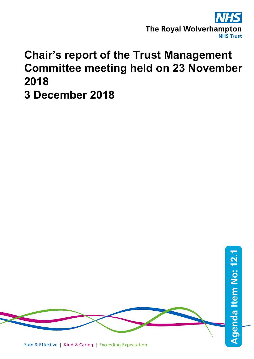

## **Chair's report of the Trust Management Committee meeting held on 23 November 2018 3 December 2018**

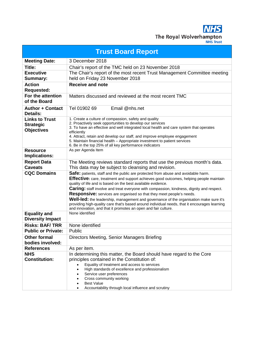The Royal Wolverhampton **NHS Trust** 

**Trust Board Report Meeting Date:** 3 December 2018 **Title:** Chair's report of the TMC held on 23 November 2018 **Executive Summary:** The Chair's report of the most recent Trust Management Committee meeting held on Friday 23 November 2018 **Action Requested: Receive and note For the attention of the Board** Matters discussed and reviewed at the most recent TMC **Author + Contact Details:** Tel 01902 69 Email @nhs.net **Links to Trust Strategic Objectives** 1. Create a culture of compassion, safety and quality 2. Proactively seek opportunities to develop our services 3. To have an effective and well integrated local health and care system that operates efficiently 4. Attract, retain and develop our staff, and improve employee engagement 5. Maintain financial health – Appropriate investment to patient services 6. Be in the top 25% of all key performance indicators **Resource Implications:** As per Agenda Item **Report Data Caveats** The Meeting reviews standard reports that use the previous month's data. This data may be subject to cleansing and revision. **Safe:** patients, staff and the public are protected from abuse and avoidable harm. **Effective:** care, treatment and support achieves good outcomes, helping people maintain quality of life and is based on the best available evidence. **Caring:** staff involve and treat everyone with compassion, kindness, dignity and respect. **Responsive:** services are organised so that they meet people's needs. **Well-led:** the leadership, management and governance of the organisation make sure it's providing high-quality care that's based around individual needs, that it encourages learning and innovation, and that it promotes an open and fair culture. **Equality and Diversity Impact** None identified **Risks: BAF/ TRR** None identified **Public or Private:** Public **Other formal bodies involved:** Directors Meeting, Senior Managers Briefing **References** As per item. **NHS Constitution:**  In determining this matter, the Board should have regard to the Core principles contained in the Constitution of: • Equality of treatment and access to services • High standards of excellence and professionalism Service user preferences Cross community working **Best Value** • Accountability through local influence and scrutiny